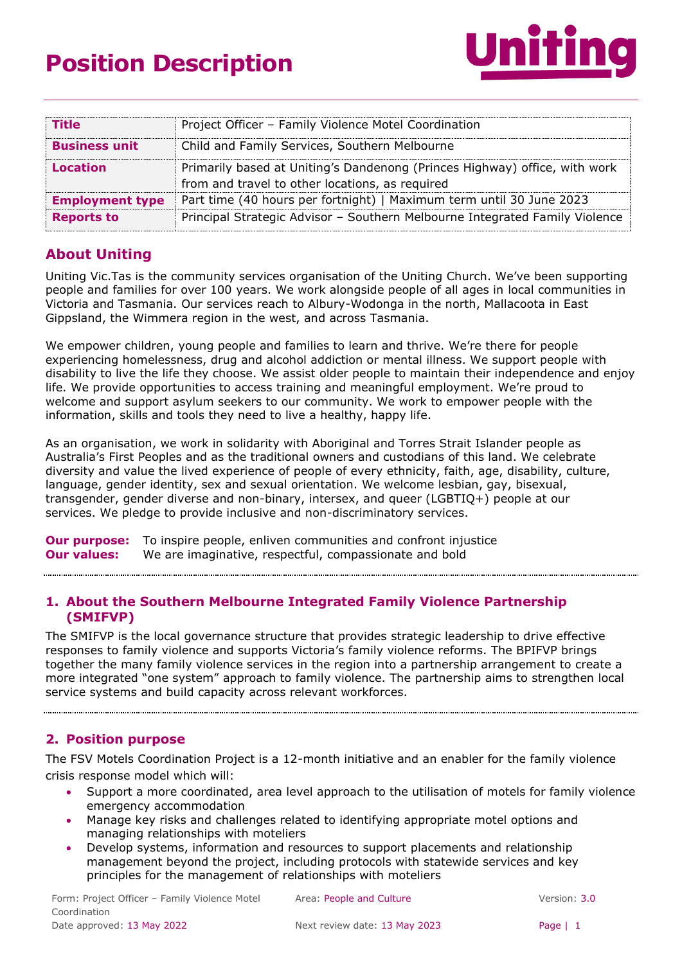

| <b>Title</b>           | Project Officer - Family Violence Motel Coordination                                                                          |
|------------------------|-------------------------------------------------------------------------------------------------------------------------------|
| <b>Business unit</b>   | Child and Family Services, Southern Melbourne                                                                                 |
| <b>Location</b>        | Primarily based at Uniting's Dandenong (Princes Highway) office, with work<br>from and travel to other locations, as required |
| <b>Employment type</b> | Part time (40 hours per fortnight)   Maximum term until 30 June 2023                                                          |
| <b>Reports to</b>      | Principal Strategic Advisor - Southern Melbourne Integrated Family Violence                                                   |

# **About Uniting**

Uniting Vic.Tas is the community services organisation of the Uniting Church. We've been supporting people and families for over 100 years. We work alongside people of all ages in local communities in Victoria and Tasmania. Our services reach to Albury-Wodonga in the north, Mallacoota in East Gippsland, the Wimmera region in the west, and across Tasmania.

We empower children, young people and families to learn and thrive. We're there for people experiencing homelessness, drug and alcohol addiction or mental illness. We support people with disability to live the life they choose. We assist older people to maintain their independence and enjoy life. We provide opportunities to access training and meaningful employment. We're proud to welcome and support asylum seekers to our community. We work to empower people with the information, skills and tools they need to live a healthy, happy life.

As an organisation, we work in solidarity with Aboriginal and Torres Strait Islander people as Australia's First Peoples and as the traditional owners and custodians of this land. We celebrate diversity and value the lived experience of people of every ethnicity, faith, age, disability, culture, language, gender identity, sex and sexual orientation. We welcome lesbian, gay, bisexual, transgender, gender diverse and non-binary, intersex, and queer (LGBTIQ+) people at our services. We pledge to provide inclusive and non-discriminatory services.

**Our purpose:** To inspire people, enliven communities and confront injustice **Our values:** We are imaginative, respectful, compassionate and bold

## **1. About the Southern Melbourne Integrated Family Violence Partnership (SMIFVP)**

The SMIFVP is the local governance structure that provides strategic leadership to drive effective responses to family violence and supports Victoria's family violence reforms. The BPIFVP brings together the many family violence services in the region into a partnership arrangement to create a more integrated "one system" approach to family violence. The partnership aims to strengthen local service systems and build capacity across relevant workforces.

## **2. Position purpose**

The FSV Motels Coordination Project is a 12-month initiative and an enabler for the family violence crisis response model which will:

- Support a more coordinated, area level approach to the utilisation of motels for family violence emergency accommodation
- Manage key risks and challenges related to identifying appropriate motel options and managing relationships with moteliers
- Develop systems, information and resources to support placements and relationship management beyond the project, including protocols with statewide services and key principles for the management of relationships with moteliers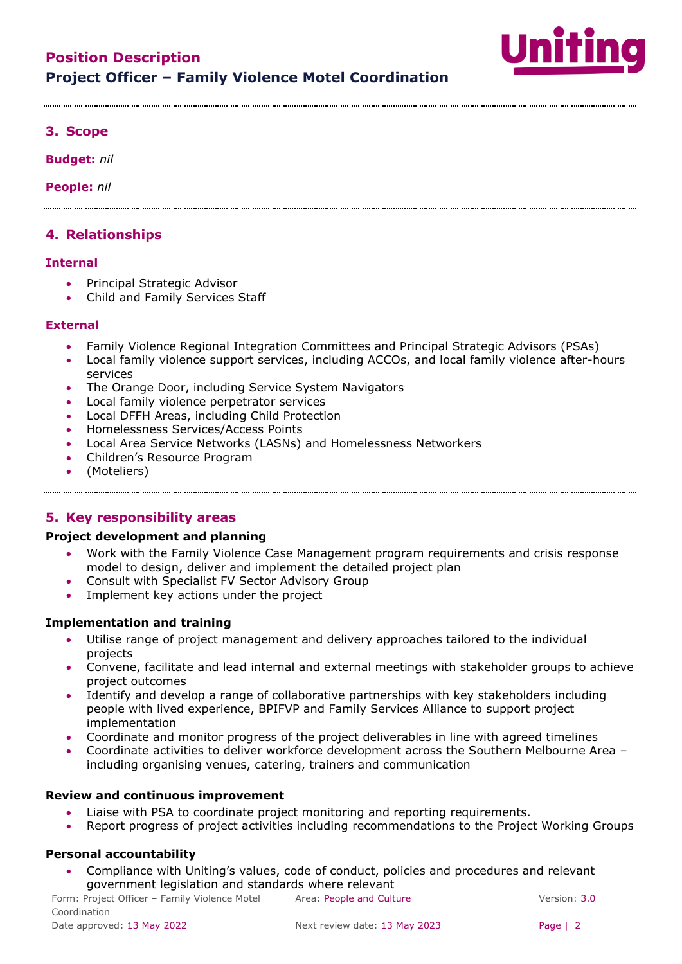

## **3. Scope**

**Budget:** *nil*

**People:** *nil*

## **4. Relationships**

#### **Internal**

- Principal Strategic Advisor
- Child and Family Services Staff

#### **External**

- Family Violence Regional Integration Committees and Principal Strategic Advisors (PSAs)
- Local family violence support services, including ACCOs, and local family violence after-hours services
- The Orange Door, including Service System Navigators
- Local family violence perpetrator services
- Local DFFH Areas, including Child Protection
- Homelessness Services/Access Points
- Local Area Service Networks (LASNs) and Homelessness Networkers
- Children's Resource Program
- (Moteliers)

## **5. Key responsibility areas**

#### **Project development and planning**

- Work with the Family Violence Case Management program requirements and crisis response model to design, deliver and implement the detailed project plan
- Consult with Specialist FV Sector Advisory Group
- Implement key actions under the project

#### **Implementation and training**

- Utilise range of project management and delivery approaches tailored to the individual projects
- Convene, facilitate and lead internal and external meetings with stakeholder groups to achieve project outcomes
- Identify and develop a range of collaborative partnerships with key stakeholders including people with lived experience, BPIFVP and Family Services Alliance to support project implementation
- Coordinate and monitor progress of the project deliverables in line with agreed timelines
- Coordinate activities to deliver workforce development across the Southern Melbourne Area including organising venues, catering, trainers and communication

#### **Review and continuous improvement**

- Liaise with PSA to coordinate project monitoring and reporting requirements.
- Report progress of project activities including recommendations to the Project Working Groups

### **Personal accountability**

• Compliance with Uniting's values, code of conduct, policies and procedures and relevant government legislation and standards where relevant

Form: Project Officer – Family Violence Motel Coordination Area: People and Culture Version: 3.0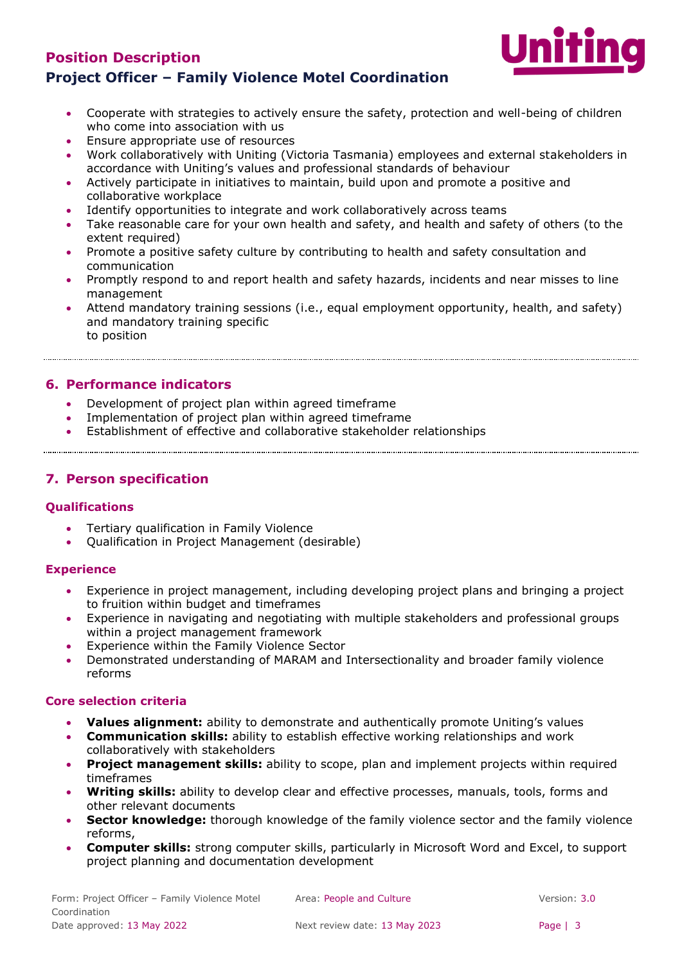# **Position Description Project Officer – Family Violence Motel Coordination**



- Cooperate with strategies to actively ensure the safety, protection and well-being of children who come into association with us
- Ensure appropriate use of resources
- Work collaboratively with Uniting (Victoria Tasmania) employees and external stakeholders in accordance with Uniting's values and professional standards of behaviour
- Actively participate in initiatives to maintain, build upon and promote a positive and collaborative workplace
- Identify opportunities to integrate and work collaboratively across teams
- Take reasonable care for your own health and safety, and health and safety of others (to the extent required)
- Promote a positive safety culture by contributing to health and safety consultation and communication
- Promptly respond to and report health and safety hazards, incidents and near misses to line management
- Attend mandatory training sessions (i.e., equal employment opportunity, health, and safety) and mandatory training specific to position

## **6. Performance indicators**

- Development of project plan within agreed timeframe
- Implementation of project plan within agreed timeframe
- Establishment of effective and collaborative stakeholder relationships

## **7. Person specification**

### **Qualifications**

• Tertiary qualification in Family Violence

• Qualification in Project Management (desirable)

### **Experience**

- Experience in project management, including developing project plans and bringing a project to fruition within budget and timeframes
- Experience in navigating and negotiating with multiple stakeholders and professional groups within a project management framework
- Experience within the Family Violence Sector
- Demonstrated understanding of MARAM and Intersectionality and broader family violence reforms

### **Core selection criteria**

- **Values alignment:** ability to demonstrate and authentically promote Uniting's values
- **Communication skills:** ability to establish effective working relationships and work collaboratively with stakeholders
- **Project management skills:** ability to scope, plan and implement projects within required timeframes
- **Writing skills:** ability to develop clear and effective processes, manuals, tools, forms and other relevant documents
- **Sector knowledge:** thorough knowledge of the family violence sector and the family violence reforms,
- **Computer skills:** strong computer skills, particularly in Microsoft Word and Excel, to support project planning and documentation development